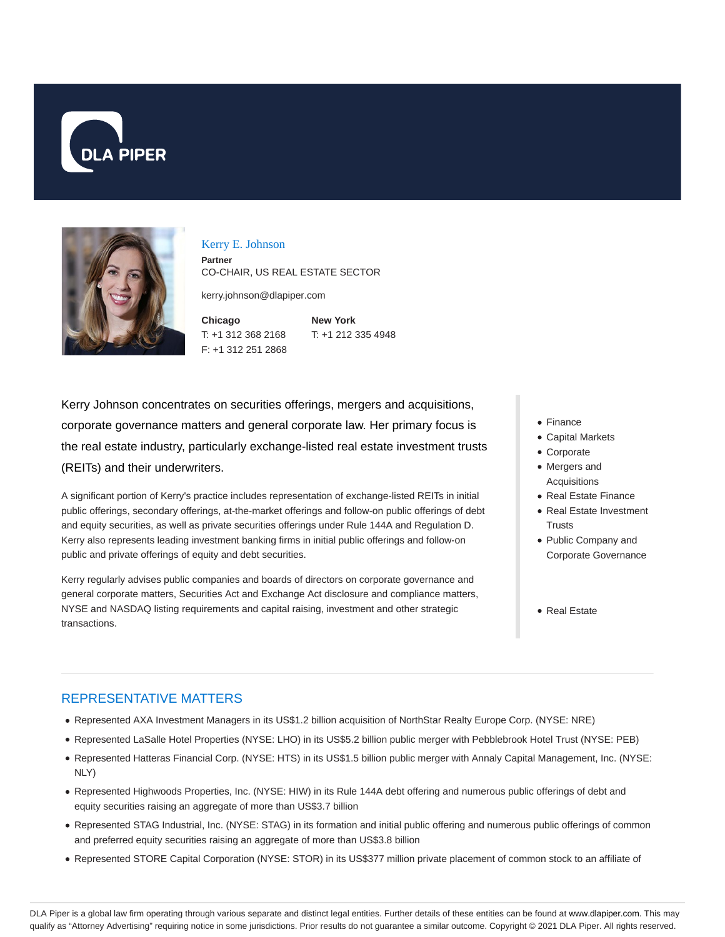



#### Kerry E. Johnson

**Partner** CO-CHAIR, US REAL ESTATE SECTOR

kerry.johnson@dlapiper.com

**Chicago** T: +1 312 368 2168 F: +1 312 251 2868

**New York** T: +1 212 335 4948

Kerry Johnson concentrates on securities offerings, mergers and acquisitions, corporate governance matters and general corporate law. Her primary focus is the real estate industry, particularly exchange-listed real estate investment trusts (REITs) and their underwriters.

A significant portion of Kerry's practice includes representation of exchange-listed REITs in initial public offerings, secondary offerings, at-the-market offerings and follow-on public offerings of debt and equity securities, as well as private securities offerings under Rule 144A and Regulation D. Kerry also represents leading investment banking firms in initial public offerings and follow-on public and private offerings of equity and debt securities.

Kerry regularly advises public companies and boards of directors on corporate governance and general corporate matters, Securities Act and Exchange Act disclosure and compliance matters, NYSE and NASDAQ listing requirements and capital raising, investment and other strategic transactions.

- Finance
- Capital Markets
- Corporate
- Mergers and Acquisitions
- Real Estate Finance
- Real Estate Investment **Trusts**
- Public Company and Corporate Governance
- Real Estate

#### REPRESENTATIVE MATTERS

- Represented AXA Investment Managers in its US\$1.2 billion acquisition of NorthStar Realty Europe Corp. (NYSE: NRE)
- Represented LaSalle Hotel Properties (NYSE: LHO) in its US\$5.2 billion public merger with Pebblebrook Hotel Trust (NYSE: PEB)
- Represented Hatteras Financial Corp. (NYSE: HTS) in its US\$1.5 billion public merger with Annaly Capital Management, Inc. (NYSE: NLY)
- Represented Highwoods Properties, Inc. (NYSE: HIW) in its Rule 144A debt offering and numerous public offerings of debt and equity securities raising an aggregate of more than US\$3.7 billion
- Represented STAG Industrial, Inc. (NYSE: STAG) in its formation and initial public offering and numerous public offerings of common and preferred equity securities raising an aggregate of more than US\$3.8 billion
- Represented STORE Capital Corporation (NYSE: STOR) in its US\$377 million private placement of common stock to an affiliate of

DLA Piper is a global law firm operating through various separate and distinct legal entities. Further details of these entities can be found at www.dlapiper.com. This may qualify as "Attorney Advertising" requiring notice in some jurisdictions. Prior results do not guarantee a similar outcome. Copyright © 2021 DLA Piper. All rights reserved.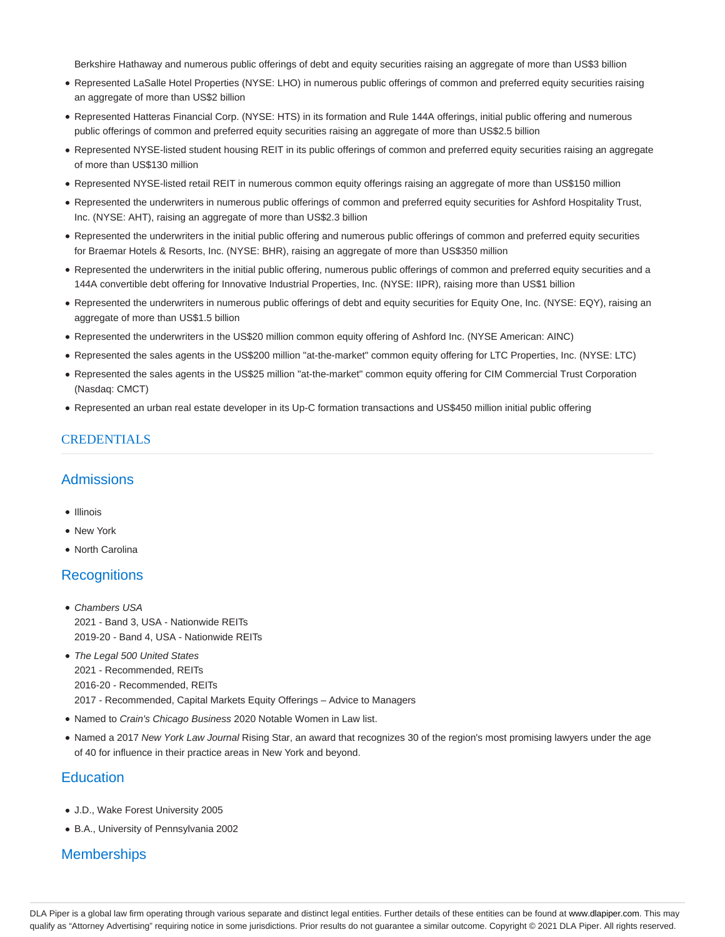Berkshire Hathaway and numerous public offerings of debt and equity securities raising an aggregate of more than US\$3 billion

- Represented LaSalle Hotel Properties (NYSE: LHO) in numerous public offerings of common and preferred equity securities raising an aggregate of more than US\$2 billion
- Represented Hatteras Financial Corp. (NYSE: HTS) in its formation and Rule 144A offerings, initial public offering and numerous public offerings of common and preferred equity securities raising an aggregate of more than US\$2.5 billion
- Represented NYSE-listed student housing REIT in its public offerings of common and preferred equity securities raising an aggregate of more than US\$130 million
- Represented NYSE-listed retail REIT in numerous common equity offerings raising an aggregate of more than US\$150 million
- Represented the underwriters in numerous public offerings of common and preferred equity securities for Ashford Hospitality Trust, Inc. (NYSE: AHT), raising an aggregate of more than US\$2.3 billion
- Represented the underwriters in the initial public offering and numerous public offerings of common and preferred equity securities for Braemar Hotels & Resorts, Inc. (NYSE: BHR), raising an aggregate of more than US\$350 million
- Represented the underwriters in the initial public offering, numerous public offerings of common and preferred equity securities and a 144A convertible debt offering for Innovative Industrial Properties, Inc. (NYSE: IIPR), raising more than US\$1 billion
- Represented the underwriters in numerous public offerings of debt and equity securities for Equity One, Inc. (NYSE: EQY), raising an aggregate of more than US\$1.5 billion
- Represented the underwriters in the US\$20 million common equity offering of Ashford Inc. (NYSE American: AINC)
- Represented the sales agents in the US\$200 million "at-the-market" common equity offering for LTC Properties, Inc. (NYSE: LTC)
- Represented the sales agents in the US\$25 million "at-the-market" common equity offering for CIM Commercial Trust Corporation (Nasdaq: CMCT)
- Represented an urban real estate developer in its Up-C formation transactions and US\$450 million initial public offering

## CREDENTIALS

## **Admissions**

- Illinois
- New York
- North Carolina

## **Recognitions**

- Chambers USA 2021 - Band 3, USA - Nationwide REITs 2019-20 - Band 4, USA - Nationwide REITs
- The Legal 500 United States 2021 - Recommended, REITs 2016-20 - Recommended, REITs 2017 - Recommended, Capital Markets Equity Offerings – Advice to Managers
- Named to Crain's Chicago Business 2020 Notable Women in Law list.
- Named a 2017 New York Law Journal Rising Star, an award that recognizes 30 of the region's most promising lawyers under the age of 40 for influence in their practice areas in New York and beyond.

## **Education**

- J.D., Wake Forest University 2005
- B.A., University of Pennsylvania 2002

# **Memberships**